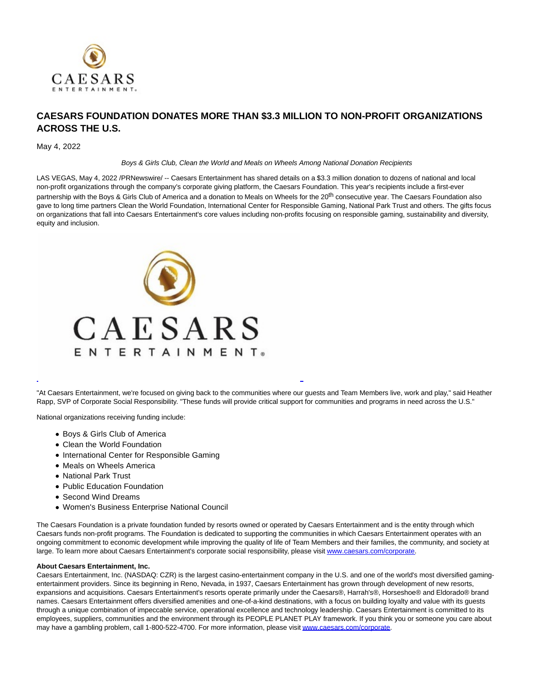

## **CAESARS FOUNDATION DONATES MORE THAN \$3.3 MILLION TO NON-PROFIT ORGANIZATIONS ACROSS THE U.S.**

## May 4, 2022

Boys & Girls Club, Clean the World and Meals on Wheels Among National Donation Recipients

LAS VEGAS, May 4, 2022 /PRNewswire/ -- Caesars Entertainment has shared details on a \$3.3 million donation to dozens of national and local non-profit organizations through the company's corporate giving platform, the Caesars Foundation. This year's recipients include a first-ever partnership with the Boys & Girls Club of America and a donation to Meals on Wheels for the 20<sup>th</sup> consecutive year. The Caesars Foundation also gave to long time partners Clean the World Foundation, International Center for Responsible Gaming, National Park Trust and others. The gifts focus on organizations that fall into Caesars Entertainment's core values including non-profits focusing on responsible gaming, sustainability and diversity, equity and inclusion.



"At Caesars Entertainment, we're focused on giving back to the communities where our guests and Team Members live, work and play," said Heather Rapp, SVP of Corporate Social Responsibility. "These funds will provide critical support for communities and programs in need across the U.S."

L

National organizations receiving funding include:

- Boys & Girls Club of America
- Clean the World Foundation
- International Center for Responsible Gaming
- Meals on Wheels America
- National Park Trust
- Public Education Foundation
- Second Wind Dreams
- Women's Business Enterprise National Council

The Caesars Foundation is a private foundation funded by resorts owned or operated by Caesars Entertainment and is the entity through which Caesars funds non-profit programs. The Foundation is dedicated to supporting the communities in which Caesars Entertainment operates with an ongoing commitment to economic development while improving the quality of life of Team Members and their families, the community, and society at large. To learn more about Caesars Entertainment's corporate social responsibility, please visit www.caesars.com/corporate.

## **About Caesars Entertainment, Inc.**

Caesars Entertainment, Inc. (NASDAQ: CZR) is the largest casino-entertainment company in the U.S. and one of the world's most diversified gamingentertainment providers. Since its beginning in Reno, Nevada, in 1937, Caesars Entertainment has grown through development of new resorts, expansions and acquisitions. Caesars Entertainment's resorts operate primarily under the Caesars®, Harrah's®, Horseshoe® and Eldorado® brand names. Caesars Entertainment offers diversified amenities and one-of-a-kind destinations, with a focus on building loyalty and value with its guests through a unique combination of impeccable service, operational excellence and technology leadership. Caesars Entertainment is committed to its employees, suppliers, communities and the environment through its PEOPLE PLANET PLAY framework. If you think you or someone you care about may have a gambling problem, call 1-800-522-4700. For more information, please visi[t www.caesars.com/corporate.](https://c212.net/c/link/?t=0&l=en&o=3525934-1&h=3232441113&u=http%3A%2F%2Fwww.caesars.com%2Fcorporate&a=www.caesars.com%2Fcorporate)